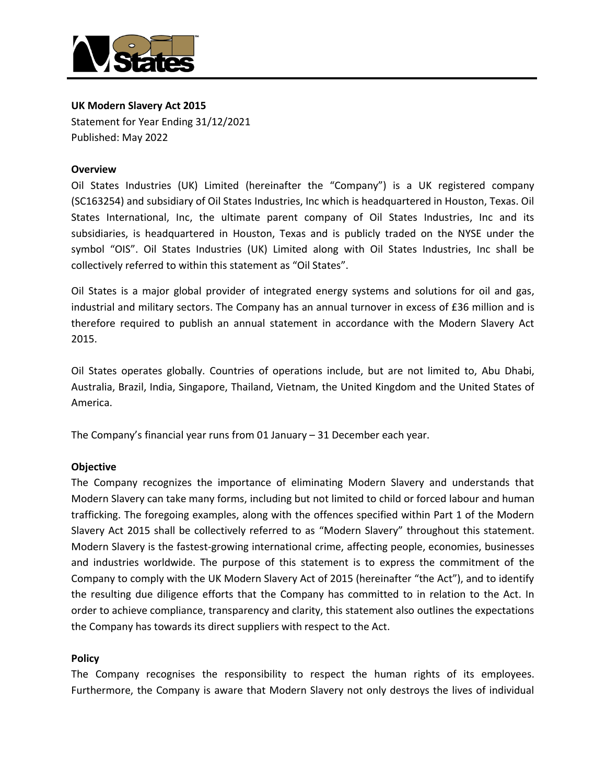

# **UK Modern Slavery Act 2015**

Statement for Year Ending 31/12/2021 Published: May 2022

#### **Overview**

Oil States Industries (UK) Limited (hereinafter the "Company") is a UK registered company (SC163254) and subsidiary of Oil States Industries, Inc which is headquartered in Houston, Texas. Oil States International, Inc, the ultimate parent company of Oil States Industries, Inc and its subsidiaries, is headquartered in Houston, Texas and is publicly traded on the NYSE under the symbol "OIS". Oil States Industries (UK) Limited along with Oil States Industries, Inc shall be collectively referred to within this statement as "Oil States".

Oil States is a major global provider of integrated energy systems and solutions for oil and gas, industrial and military sectors. The Company has an annual turnover in excess of £36 million and is therefore required to publish an annual statement in accordance with the Modern Slavery Act 2015.

Oil States operates globally. Countries of operations include, but are not limited to, Abu Dhabi, Australia, Brazil, India, Singapore, Thailand, Vietnam, the United Kingdom and the United States of America.

The Company's financial year runs from 01 January – 31 December each year.

#### **Objective**

The Company recognizes the importance of eliminating Modern Slavery and understands that Modern Slavery can take many forms, including but not limited to child or forced labour and human trafficking. The foregoing examples, along with the offences specified within Part 1 of the Modern Slavery Act 2015 shall be collectively referred to as "Modern Slavery" throughout this statement. Modern Slavery is the fastest-growing international crime, affecting people, economies, businesses and industries worldwide. The purpose of this statement is to express the commitment of the Company to comply with the UK Modern Slavery Act of 2015 (hereinafter "the Act"), and to identify the resulting due diligence efforts that the Company has committed to in relation to the Act. In order to achieve compliance, transparency and clarity, this statement also outlines the expectations the Company has towards its direct suppliers with respect to the Act.

#### **Policy**

The Company recognises the responsibility to respect the human rights of its employees. Furthermore, the Company is aware that Modern Slavery not only destroys the lives of individual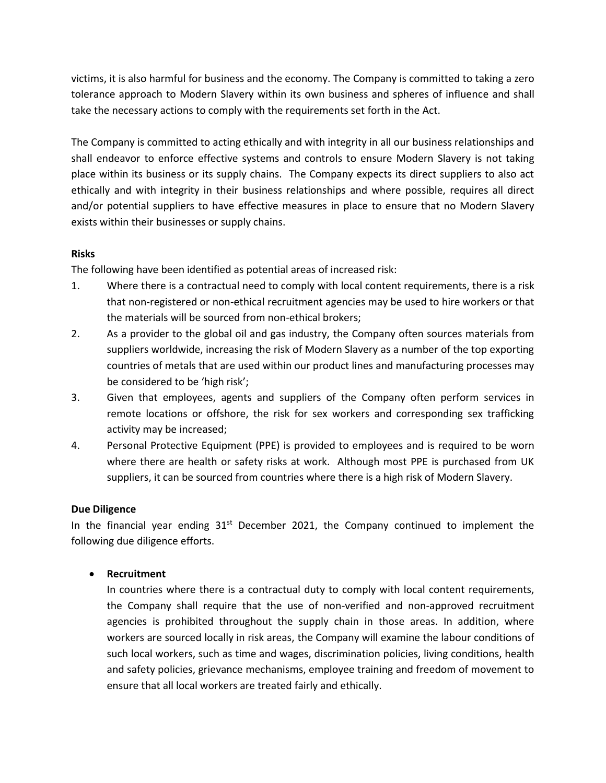victims, it is also harmful for business and the economy. The Company is committed to taking a zero tolerance approach to Modern Slavery within its own business and spheres of influence and shall take the necessary actions to comply with the requirements set forth in the Act.

The Company is committed to acting ethically and with integrity in all our business relationships and shall endeavor to enforce effective systems and controls to ensure Modern Slavery is not taking place within its business or its supply chains. The Company expects its direct suppliers to also act ethically and with integrity in their business relationships and where possible, requires all direct and/or potential suppliers to have effective measures in place to ensure that no Modern Slavery exists within their businesses or supply chains.

# **Risks**

The following have been identified as potential areas of increased risk:

- 1. Where there is a contractual need to comply with local content requirements, there is a risk that non-registered or non-ethical recruitment agencies may be used to hire workers or that the materials will be sourced from non-ethical brokers;
- 2. As a provider to the global oil and gas industry, the Company often sources materials from suppliers worldwide, increasing the risk of Modern Slavery as a number of the top exporting countries of metals that are used within our product lines and manufacturing processes may be considered to be 'high risk';
- 3. Given that employees, agents and suppliers of the Company often perform services in remote locations or offshore, the risk for sex workers and corresponding sex trafficking activity may be increased;
- 4. Personal Protective Equipment (PPE) is provided to employees and is required to be worn where there are health or safety risks at work. Although most PPE is purchased from UK suppliers, it can be sourced from countries where there is a high risk of Modern Slavery.

# **Due Diligence**

In the financial year ending  $31<sup>st</sup>$  December 2021, the Company continued to implement the following due diligence efforts.

# • **Recruitment**

In countries where there is a contractual duty to comply with local content requirements, the Company shall require that the use of non-verified and non-approved recruitment agencies is prohibited throughout the supply chain in those areas. In addition, where workers are sourced locally in risk areas, the Company will examine the labour conditions of such local workers, such as time and wages, discrimination policies, living conditions, health and safety policies, grievance mechanisms, employee training and freedom of movement to ensure that all local workers are treated fairly and ethically.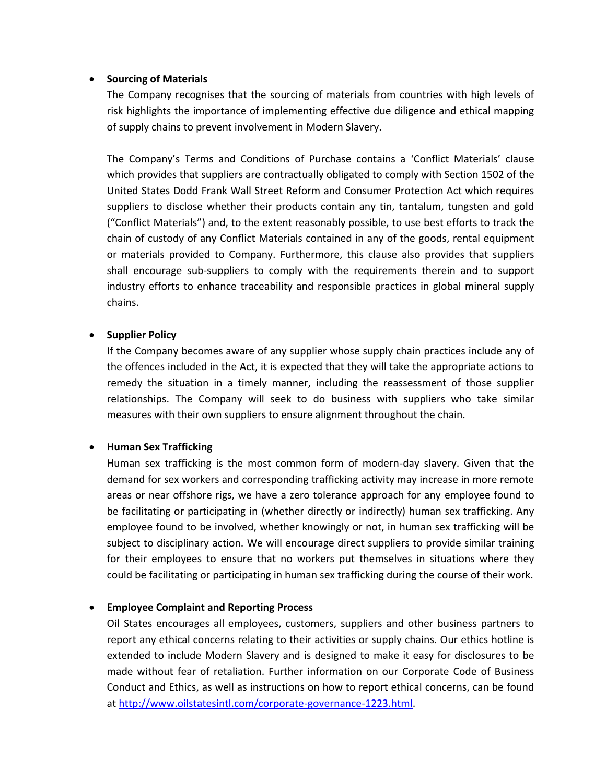#### • **Sourcing of Materials**

The Company recognises that the sourcing of materials from countries with high levels of risk highlights the importance of implementing effective due diligence and ethical mapping of supply chains to prevent involvement in Modern Slavery.

The Company's Terms and Conditions of Purchase contains a 'Conflict Materials' clause which provides that suppliers are contractually obligated to comply with Section 1502 of the United States Dodd Frank Wall Street Reform and Consumer Protection Act which requires suppliers to disclose whether their products contain any tin, tantalum, tungsten and gold ("Conflict Materials") and, to the extent reasonably possible, to use best efforts to track the chain of custody of any Conflict Materials contained in any of the goods, rental equipment or materials provided to Company. Furthermore, this clause also provides that suppliers shall encourage sub-suppliers to comply with the requirements therein and to support industry efforts to enhance traceability and responsible practices in global mineral supply chains.

# • **Supplier Policy**

If the Company becomes aware of any supplier whose supply chain practices include any of the offences included in the Act, it is expected that they will take the appropriate actions to remedy the situation in a timely manner, including the reassessment of those supplier relationships. The Company will seek to do business with suppliers who take similar measures with their own suppliers to ensure alignment throughout the chain.

# • **Human Sex Trafficking**

Human sex trafficking is the most common form of modern-day slavery. Given that the demand for sex workers and corresponding trafficking activity may increase in more remote areas or near offshore rigs, we have a zero tolerance approach for any employee found to be facilitating or participating in (whether directly or indirectly) human sex trafficking. Any employee found to be involved, whether knowingly or not, in human sex trafficking will be subject to disciplinary action. We will encourage direct suppliers to provide similar training for their employees to ensure that no workers put themselves in situations where they could be facilitating or participating in human sex trafficking during the course of their work.

# • **Employee Complaint and Reporting Process**

Oil States encourages all employees, customers, suppliers and other business partners to report any ethical concerns relating to their activities or supply chains. Our ethics hotline is extended to include Modern Slavery and is designed to make it easy for disclosures to be made without fear of retaliation. Further information on our Corporate Code of Business Conduct and Ethics, as well as instructions on how to report ethical concerns, can be found at [http://www.oilstatesintl.com/corporate-governance-1223.html.](http://www.oilstatesintl.com/corporate-governance-1223.html)